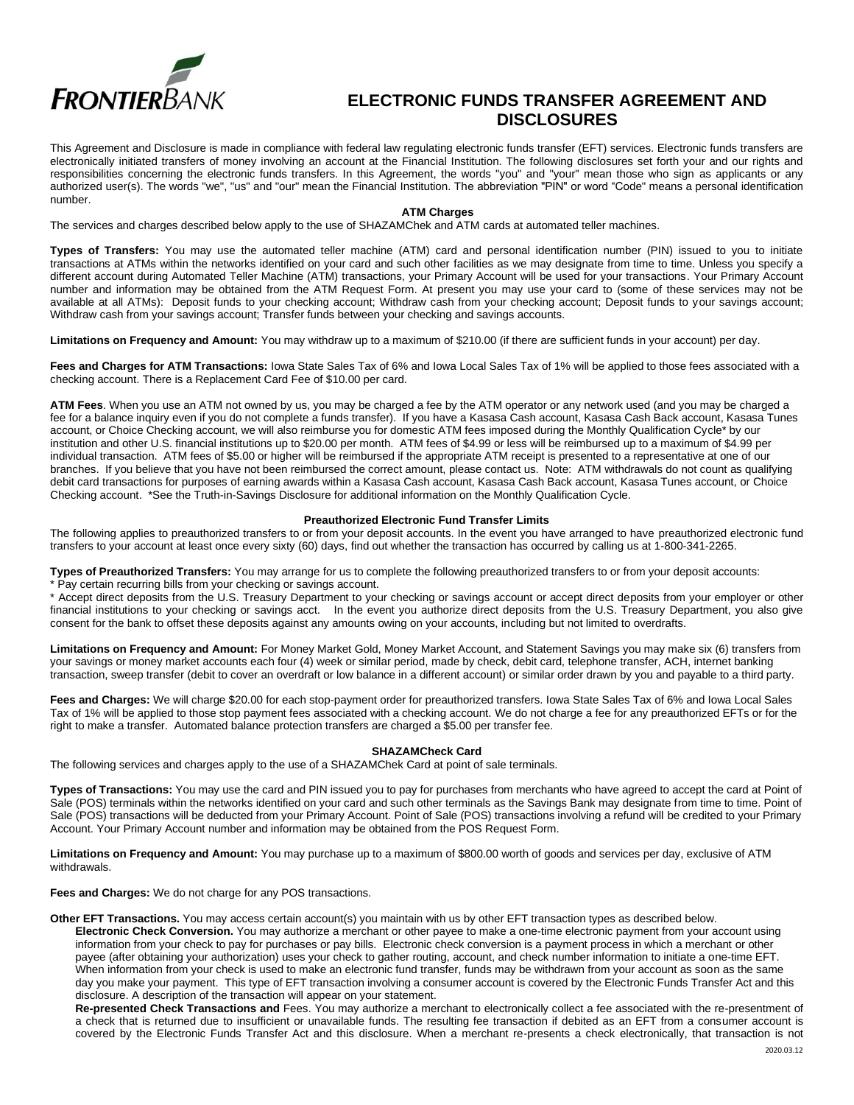

# **ELECTRONIC FUNDS TRANSFER AGREEMENT AND DISCLOSURES**

This Agreement and Disclosure is made in compliance with federal law regulating electronic funds transfer (EFT) services. Electronic funds transfers are electronically initiated transfers of money involving an account at the Financial Institution. The following disclosures set forth your and our rights and responsibilities concerning the electronic funds transfers. In this Agreement, the words "you" and "your" mean those who sign as applicants or any authorized user(s). The words "we", "us" and "our" mean the Financial Institution. The abbreviation "PIN" or word "Code" means a personal identification number.

# **ATM Charges**

The services and charges described below apply to the use of SHAZAMChek and ATM cards at automated teller machines.

**Types of Transfers:** You may use the automated teller machine (ATM) card and personal identification number (PIN) issued to you to initiate transactions at ATMs within the networks identified on your card and such other facilities as we may designate from time to time. Unless you specify a different account during Automated Teller Machine (ATM) transactions, your Primary Account will be used for your transactions. Your Primary Account number and information may be obtained from the ATM Request Form. At present you may use your card to (some of these services may not be available at all ATMs): Deposit funds to your checking account; Withdraw cash from your checking account; Deposit funds to your savings account; Withdraw cash from your savings account; Transfer funds between your checking and savings accounts.

**Limitations on Frequency and Amount:** You may withdraw up to a maximum of \$210.00 (if there are sufficient funds in your account) per day.

**Fees and Charges for ATM Transactions:** Iowa State Sales Tax of 6% and Iowa Local Sales Tax of 1% will be applied to those fees associated with a checking account. There is a Replacement Card Fee of \$10.00 per card.

**ATM Fees**. When you use an ATM not owned by us, you may be charged a fee by the ATM operator or any network used (and you may be charged a fee for a balance inquiry even if you do not complete a funds transfer). If you have a Kasasa Cash account, Kasasa Cash Back account, Kasasa Tunes account, or Choice Checking account, we will also reimburse you for domestic ATM fees imposed during the Monthly Qualification Cycle\* by our institution and other U.S. financial institutions up to \$20.00 per month. ATM fees of \$4.99 or less will be reimbursed up to a maximum of \$4.99 per individual transaction. ATM fees of \$5.00 or higher will be reimbursed if the appropriate ATM receipt is presented to a representative at one of our branches. If you believe that you have not been reimbursed the correct amount, please contact us. Note: ATM withdrawals do not count as qualifying debit card transactions for purposes of earning awards within a Kasasa Cash account, Kasasa Cash Back account, Kasasa Tunes account, or Choice Checking account. \*See the Truth-in-Savings Disclosure for additional information on the Monthly Qualification Cycle.

# **Preauthorized Electronic Fund Transfer Limits**

The following applies to preauthorized transfers to or from your deposit accounts. In the event you have arranged to have preauthorized electronic fund transfers to your account at least once every sixty (60) days, find out whether the transaction has occurred by calling us at 1-800-341-2265.

**Types of Preauthorized Transfers:** You may arrange for us to complete the following preauthorized transfers to or from your deposit accounts: \* Pay certain recurring bills from your checking or savings account.

\* Accept direct deposits from the U.S. Treasury Department to your checking or savings account or accept direct deposits from your employer or other financial institutions to your checking or savings acct. In the event you authorize direct deposits from the U.S. Treasury Department, you also give consent for the bank to offset these deposits against any amounts owing on your accounts, including but not limited to overdrafts.

**Limitations on Frequency and Amount:** For Money Market Gold, Money Market Account, and Statement Savings you may make six (6) transfers from your savings or money market accounts each four (4) week or similar period, made by check, debit card, telephone transfer, ACH, internet banking transaction, sweep transfer (debit to cover an overdraft or low balance in a different account) or similar order drawn by you and payable to a third party.

**Fees and Charges:** We will charge \$20.00 for each stop-payment order for preauthorized transfers. Iowa State Sales Tax of 6% and Iowa Local Sales Tax of 1% will be applied to those stop payment fees associated with a checking account. We do not charge a fee for any preauthorized EFTs or for the right to make a transfer. Automated balance protection transfers are charged a \$5.00 per transfer fee.

# **SHAZAMCheck Card**

The following services and charges apply to the use of a SHAZAMChek Card at point of sale terminals.

**Types of Transactions:** You may use the card and PIN issued you to pay for purchases from merchants who have agreed to accept the card at Point of Sale (POS) terminals within the networks identified on your card and such other terminals as the Savings Bank may designate from time to time. Point of Sale (POS) transactions will be deducted from your Primary Account. Point of Sale (POS) transactions involving a refund will be credited to your Primary Account. Your Primary Account number and information may be obtained from the POS Request Form.

**Limitations on Frequency and Amount:** You may purchase up to a maximum of \$800.00 worth of goods and services per day, exclusive of ATM withdrawals.

**Fees and Charges:** We do not charge for any POS transactions.

**Other EFT Transactions.** You may access certain account(s) you maintain with us by other EFT transaction types as described below. **Electronic Check Conversion.** You may authorize a merchant or other payee to make a one-time electronic payment from your account using information from your check to pay for purchases or pay bills. Electronic check conversion is a payment process in which a merchant or other payee (after obtaining your authorization) uses your check to gather routing, account, and check number information to initiate a one-time EFT. When information from your check is used to make an electronic fund transfer, funds may be withdrawn from your account as soon as the same day you make your payment. This type of EFT transaction involving a consumer account is covered by the Electronic Funds Transfer Act and this disclosure. A description of the transaction will appear on your statement.

**Re-presented Check Transactions and** Fees. You may authorize a merchant to electronically collect a fee associated with the re-presentment of a check that is returned due to insufficient or unavailable funds. The resulting fee transaction if debited as an EFT from a consumer account is covered by the Electronic Funds Transfer Act and this disclosure. When a merchant re-presents a check electronically, that transaction is not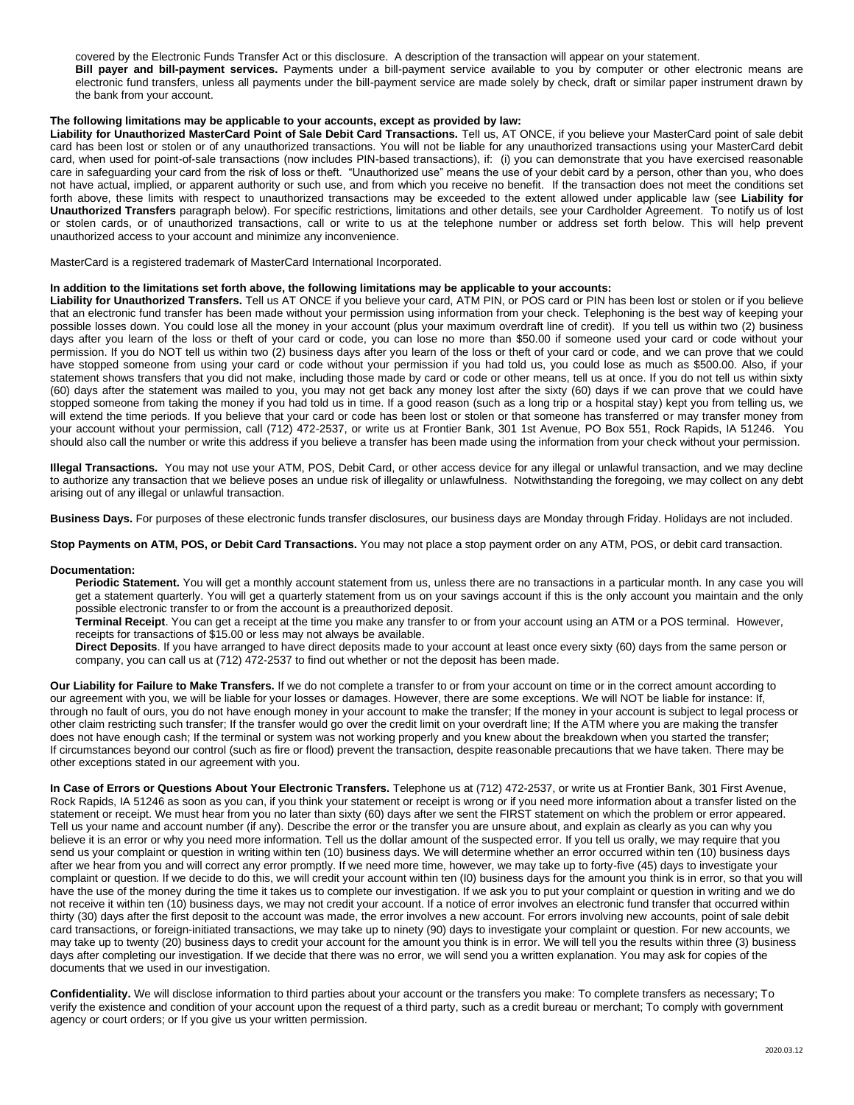covered by the Electronic Funds Transfer Act or this disclosure. A description of the transaction will appear on your statement.

**Bill payer and bill-payment services.** Payments under a bill-payment service available to you by computer or other electronic means are electronic fund transfers, unless all payments under the bill-payment service are made solely by check, draft or similar paper instrument drawn by the bank from your account.

# **The following limitations may be applicable to your accounts, except as provided by law:**

Liability for Unauthorized MasterCard Point of Sale Debit Card Transactions. Tell us, AT ONCE, if you believe your MasterCard point of sale debit card has been lost or stolen or of any unauthorized transactions. You will not be liable for any unauthorized transactions using your MasterCard debit card, when used for point-of-sale transactions (now includes PIN-based transactions), if: (i) you can demonstrate that you have exercised reasonable care in safeguarding your card from the risk of loss or theft. "Unauthorized use" means the use of your debit card by a person, other than you, who does not have actual, implied, or apparent authority or such use, and from which you receive no benefit. If the transaction does not meet the conditions set forth above, these limits with respect to unauthorized transactions may be exceeded to the extent allowed under applicable law (see **Liability for Unauthorized Transfers** paragraph below). For specific restrictions, limitations and other details, see your Cardholder Agreement. To notify us of lost or stolen cards, or of unauthorized transactions, call or write to us at the telephone number or address set forth below. This will help prevent unauthorized access to your account and minimize any inconvenience.

MasterCard is a registered trademark of MasterCard International Incorporated.

# **In addition to the limitations set forth above, the following limitations may be applicable to your accounts:**

**Liability for Unauthorized Transfers.** Tell us AT ONCE if you believe your card, ATM PIN, or POS card or PIN has been lost or stolen or if you believe that an electronic fund transfer has been made without your permission using information from your check. Telephoning is the best way of keeping your possible losses down. You could lose all the money in your account (plus your maximum overdraft line of credit). If you tell us within two (2) business days after you learn of the loss or theft of your card or code, you can lose no more than \$50.00 if someone used your card or code without your permission. If you do NOT tell us within two (2) business days after you learn of the loss or theft of your card or code, and we can prove that we could have stopped someone from using your card or code without your permission if you had told us, you could lose as much as \$500.00. Also, if your statement shows transfers that you did not make, including those made by card or code or other means, tell us at once. If you do not tell us within sixty (60) days after the statement was mailed to you, you may not get back any money lost after the sixty (60) days if we can prove that we could have stopped someone from taking the money if you had told us in time. If a good reason (such as a long trip or a hospital stay) kept you from telling us, we will extend the time periods. If you believe that your card or code has been lost or stolen or that someone has transferred or may transfer money from your account without your permission, call (712) 472-2537, or write us at Frontier Bank, 301 1st Avenue, PO Box 551, Rock Rapids, IA 51246. You should also call the number or write this address if you believe a transfer has been made using the information from your check without your permission.

**Illegal Transactions.** You may not use your ATM, POS, Debit Card, or other access device for any illegal or unlawful transaction, and we may decline to authorize any transaction that we believe poses an undue risk of illegality or unlawfulness. Notwithstanding the foregoing, we may collect on any debt arising out of any illegal or unlawful transaction.

**Business Days.** For purposes of these electronic funds transfer disclosures, our business days are Monday through Friday. Holidays are not included.

**Stop Payments on ATM, POS, or Debit Card Transactions.** You may not place a stop payment order on any ATM, POS, or debit card transaction.

#### **Documentation:**

**Periodic Statement.** You will get a monthly account statement from us, unless there are no transactions in a particular month. In any case you will get a statement quarterly. You will get a quarterly statement from us on your savings account if this is the only account you maintain and the only possible electronic transfer to or from the account is a preauthorized deposit.

**Terminal Receipt**. You can get a receipt at the time you make any transfer to or from your account using an ATM or a POS terminal. However, receipts for transactions of \$15.00 or less may not always be available.

**Direct Deposits**. If you have arranged to have direct deposits made to your account at least once every sixty (60) days from the same person or company, you can call us at (712) 472-2537 to find out whether or not the deposit has been made.

**Our Liability for Failure to Make Transfers.** If we do not complete a transfer to or from your account on time or in the correct amount according to our agreement with you, we will be liable for your losses or damages. However, there are some exceptions. We will NOT be liable for instance: If, through no fault of ours, you do not have enough money in your account to make the transfer; If the money in your account is subject to legal process or other claim restricting such transfer; If the transfer would go over the credit limit on your overdraft line; If the ATM where you are making the transfer does not have enough cash; If the terminal or system was not working properly and you knew about the breakdown when you started the transfer; If circumstances beyond our control (such as fire or flood) prevent the transaction, despite reasonable precautions that we have taken. There may be other exceptions stated in our agreement with you.

**In Case of Errors or Questions About Your Electronic Transfers.** Telephone us at (712) 472-2537, or write us at Frontier Bank, 301 First Avenue, Rock Rapids, IA 51246 as soon as you can, if you think your statement or receipt is wrong or if you need more information about a transfer listed on the statement or receipt. We must hear from you no later than sixty (60) days after we sent the FIRST statement on which the problem or error appeared. Tell us your name and account number (if any). Describe the error or the transfer you are unsure about, and explain as clearly as you can why you believe it is an error or why you need more information. Tell us the dollar amount of the suspected error. If you tell us orally, we may require that you send us your complaint or question in writing within ten (10) business days. We will determine whether an error occurred within ten (10) business days after we hear from you and will correct any error promptly. If we need more time, however, we may take up to forty-five (45) days to investigate your complaint or question. If we decide to do this, we will credit your account within ten (I0) business days for the amount you think is in error, so that you will have the use of the money during the time it takes us to complete our investigation. If we ask you to put your complaint or question in writing and we do not receive it within ten (10) business days, we may not credit your account. If a notice of error involves an electronic fund transfer that occurred within thirty (30) days after the first deposit to the account was made, the error involves a new account. For errors involving new accounts, point of sale debit card transactions, or foreign-initiated transactions, we may take up to ninety (90) days to investigate your complaint or question. For new accounts, we may take up to twenty (20) business days to credit your account for the amount you think is in error. We will tell you the results within three (3) business days after completing our investigation. If we decide that there was no error, we will send you a written explanation. You may ask for copies of the documents that we used in our investigation.

**Confidentiality.** We will disclose information to third parties about your account or the transfers you make: To complete transfers as necessary; To verify the existence and condition of your account upon the request of a third party, such as a credit bureau or merchant; To comply with government agency or court orders; or If you give us your written permission.